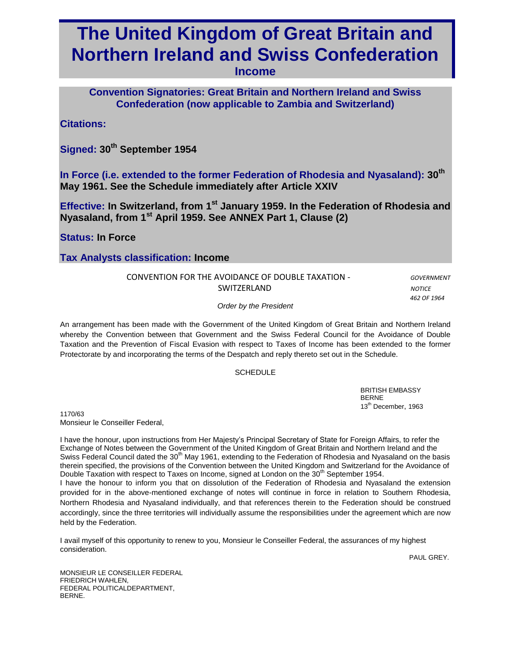# **The United Kingdom of Great Britain and Northern Ireland and Swiss Confederation**

**Income** 

**Convention Signatories: Great Britain and Northern Ireland and Swiss Confederation (now applicable to Zambia and Switzerland)**

# **Citations:**

**Signed: 30th September 1954**

**In Force (i.e. extended to the former Federation of Rhodesia and Nyasaland): 30th May 1961. See the Schedule immediately after Article XXIV**

**Effective: In Switzerland, from 1 st January 1959. In the Federation of Rhodesia and Nyasaland, from 1st April 1959. See ANNEX Part 1, Clause (2)**

**Status: In Force**

# **Tax Analysts classification: Income**

| CONVENTION FOR THE AVOIDANCE OF DOUBLE TAXATION - | GOVERNMENT    |
|---------------------------------------------------|---------------|
| SWITZERLAND                                       | <b>NOTICE</b> |

 *462 OF 1964*

*Order by the President*

An arrangement has been made with the Government of the United Kingdom of Great Britain and Northern Ireland whereby the Convention between that Government and the Swiss Federal Council for the Avoidance of Double Taxation and the Prevention of Fiscal Evasion with respect to Taxes of Income has been extended to the former Protectorate by and incorporating the terms of the Despatch and reply thereto set out in the Schedule.

#### SCHEDULE

BRITISH EMBASSY BERNE 13<sup>th</sup> December, 1963

1170/63 Monsieur le Conseiller Federal,

I have the honour, upon instructions from Her Majesty's Principal Secretary of State for Foreign Affairs, to refer the Exchange of Notes between the Government of the United Kingdom of Great Britain and Northern Ireland and the Swiss Federal Council dated the  $30<sup>th</sup>$  May 1961, extending to the Federation of Rhodesia and Nyasaland on the basis therein specified, the provisions of the Convention between the United Kingdom and Switzerland for the Avoidance of Double Taxation with respect to Taxes on Income, signed at London on the 30<sup>th</sup> September 1954.

I have the honour to inform you that on dissolution of the Federation of Rhodesia and Nyasaland the extension provided for in the above-mentioned exchange of notes will continue in force in relation to Southern Rhodesia, Northern Rhodesia and Nyasaland individually, and that references therein to the Federation should be construed accordingly, since the three territories will individually assume the responsibilities under the agreement which are now held by the Federation.

I avail myself of this opportunity to renew to you, Monsieur le Conseiller Federal, the assurances of my highest consideration.

PAUL GREY.

MONSIEUR LE CONSEILLER FEDERAL FRIEDRICH WAHLEN, FEDERAL POLITICALDEPARTMENT, BERNE.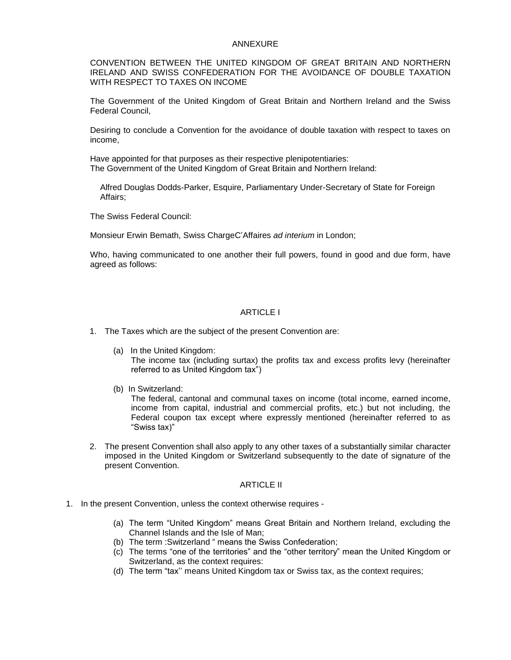#### ANNEXURE

CONVENTION BETWEEN THE UNITED KINGDOM OF GREAT BRITAIN AND NORTHERN IRELAND AND SWISS CONFEDERATION FOR THE AVOIDANCE OF DOUBLE TAXATION WITH RESPECT TO TAXES ON INCOME

The Government of the United Kingdom of Great Britain and Northern Ireland and the Swiss Federal Council,

Desiring to conclude a Convention for the avoidance of double taxation with respect to taxes on income,

Have appointed for that purposes as their respective plenipotentiaries: The Government of the United Kingdom of Great Britain and Northern Ireland:

Alfred Douglas Dodds-Parker, Esquire, Parliamentary Under-Secretary of State for Foreign Affairs;

The Swiss Federal Council:

Monsieur Erwin Bemath, Swiss ChargeC'Affaires *ad interium* in London;

Who, having communicated to one another their full powers, found in good and due form, have agreed as follows:

#### ARTICLE I

- 1. The Taxes which are the subject of the present Convention are:
	- (a) In the United Kingdom: The income tax (including surtax) the profits tax and excess profits levy (hereinafter referred to as United Kingdom tax")
	- (b) In Switzerland:

The federal, cantonal and communal taxes on income (total income, earned income, income from capital, industrial and commercial profits, etc.) but not including, the Federal coupon tax except where expressly mentioned (hereinafter referred to as "Swiss tax)"

2. The present Convention shall also apply to any other taxes of a substantially similar character imposed in the United Kingdom or Switzerland subsequently to the date of signature of the present Convention.

#### ARTICLE II

- 1. In the present Convention, unless the context otherwise requires
	- (a) The term "United Kingdom" means Great Britain and Northern Ireland, excluding the Channel Islands and the Isle of Man;
	- (b) The term :Switzerland " means the Swiss Confederation;
	- (c) The terms "one of the territories" and the "other territory" mean the United Kingdom or Switzerland, as the context requires:
	- (d) The term "tax'' means United Kingdom tax or Swiss tax, as the context requires;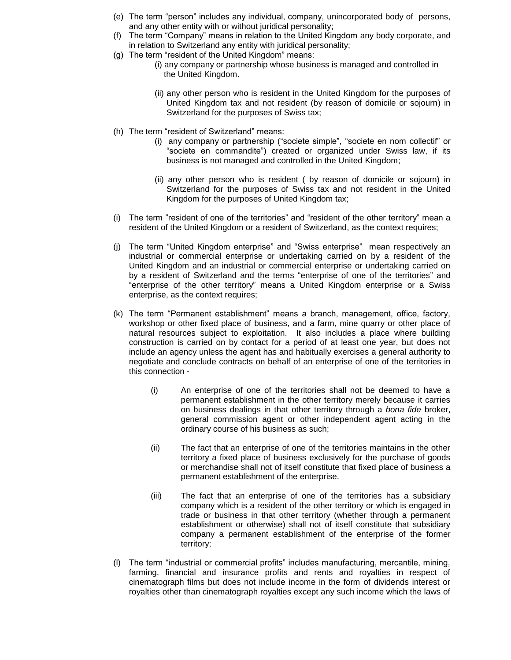- (e) The term "person" includes any individual, company, unincorporated body of persons, and any other entity with or without juridical personality;
- (f) The term "Company" means in relation to the United Kingdom any body corporate, and in relation to Switzerland any entity with juridical personality;
- (g) The term "resident of the United Kingdom" means:
	- (i) any company or partnership whose business is managed and controlled in the United Kingdom.
	- (ii) any other person who is resident in the United Kingdom for the purposes of United Kingdom tax and not resident (by reason of domicile or sojourn) in Switzerland for the purposes of Swiss tax;
- (h) The term "resident of Switzerland" means:
	- (i) any company or partnership ("societe simple", "societe en nom collectif" or "societe en commandite") created or organized under Swiss law, if its business is not managed and controlled in the United Kingdom;
	- (ii) any other person who is resident ( by reason of domicile or sojourn) in Switzerland for the purposes of Swiss tax and not resident in the United Kingdom for the purposes of United Kingdom tax;
- (i) The term "resident of one of the territories" and "resident of the other territory" mean a resident of the United Kingdom or a resident of Switzerland, as the context requires;
- (j) The term "United Kingdom enterprise" and "Swiss enterprise" mean respectively an industrial or commercial enterprise or undertaking carried on by a resident of the United Kingdom and an industrial or commercial enterprise or undertaking carried on by a resident of Switzerland and the terms "enterprise of one of the territories" and "enterprise of the other territory" means a United Kingdom enterprise or a Swiss enterprise, as the context requires;
- (k) The term "Permanent establishment" means a branch, management, office, factory, workshop or other fixed place of business, and a farm, mine quarry or other place of natural resources subject to exploitation. It also includes a place where building construction is carried on by contact for a period of at least one year, but does not include an agency unless the agent has and habitually exercises a general authority to negotiate and conclude contracts on behalf of an enterprise of one of the territories in this connection -
	- (i) An enterprise of one of the territories shall not be deemed to have a permanent establishment in the other territory merely because it carries on business dealings in that other territory through a *bona fide* broker, general commission agent or other independent agent acting in the ordinary course of his business as such;
	- (ii) The fact that an enterprise of one of the territories maintains in the other territory a fixed place of business exclusively for the purchase of goods or merchandise shall not of itself constitute that fixed place of business a permanent establishment of the enterprise.
	- (iii) The fact that an enterprise of one of the territories has a subsidiary company which is a resident of the other territory or which is engaged in trade or business in that other territory (whether through a permanent establishment or otherwise) shall not of itself constitute that subsidiary company a permanent establishment of the enterprise of the former territory;
- (l) The term "industrial or commercial profits" includes manufacturing, mercantile, mining, farming, financial and insurance profits and rents and royalties in respect of cinematograph films but does not include income in the form of dividends interest or royalties other than cinematograph royalties except any such income which the laws of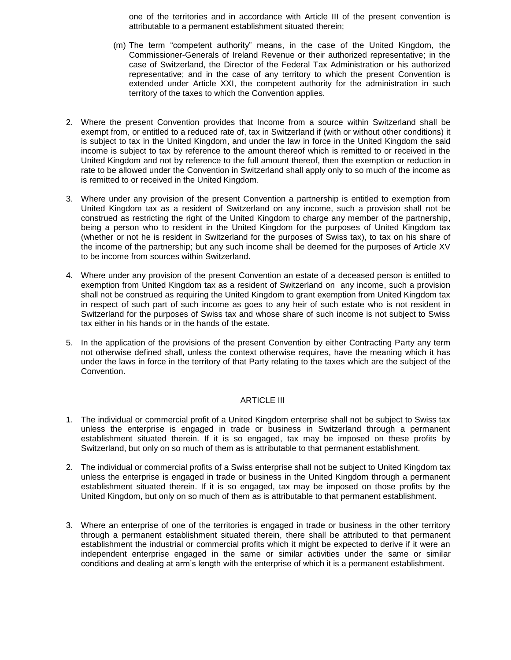one of the territories and in accordance with Article III of the present convention is attributable to a permanent establishment situated therein;

- (m) The term "competent authority" means, in the case of the United Kingdom, the Commissioner-Generals of Ireland Revenue or their authorized representative; in the case of Switzerland, the Director of the Federal Tax Administration or his authorized representative; and in the case of any territory to which the present Convention is extended under Article XXI, the competent authority for the administration in such territory of the taxes to which the Convention applies.
- 2. Where the present Convention provides that Income from a source within Switzerland shall be exempt from, or entitled to a reduced rate of, tax in Switzerland if (with or without other conditions) it is subject to tax in the United Kingdom, and under the law in force in the United Kingdom the said income is subject to tax by reference to the amount thereof which is remitted to or received in the United Kingdom and not by reference to the full amount thereof, then the exemption or reduction in rate to be allowed under the Convention in Switzerland shall apply only to so much of the income as is remitted to or received in the United Kingdom.
- 3. Where under any provision of the present Convention a partnership is entitled to exemption from United Kingdom tax as a resident of Switzerland on any income, such a provision shall not be construed as restricting the right of the United Kingdom to charge any member of the partnership, being a person who to resident in the United Kingdom for the purposes of United Kingdom tax (whether or not he is resident in Switzerland for the purposes of Swiss tax), to tax on his share of the income of the partnership; but any such income shall be deemed for the purposes of Article XV to be income from sources within Switzerland.
- 4. Where under any provision of the present Convention an estate of a deceased person is entitled to exemption from United Kingdom tax as a resident of Switzerland on any income, such a provision shall not be construed as requiring the United Kingdom to grant exemption from United Kingdom tax in respect of such part of such income as goes to any heir of such estate who is not resident in Switzerland for the purposes of Swiss tax and whose share of such income is not subject to Swiss tax either in his hands or in the hands of the estate.
- 5. In the application of the provisions of the present Convention by either Contracting Party any term not otherwise defined shall, unless the context otherwise requires, have the meaning which it has under the laws in force in the territory of that Party relating to the taxes which are the subject of the Convention.

#### ARTICLE III

- 1. The individual or commercial profit of a United Kingdom enterprise shall not be subject to Swiss tax unless the enterprise is engaged in trade or business in Switzerland through a permanent establishment situated therein. If it is so engaged, tax may be imposed on these profits by Switzerland, but only on so much of them as is attributable to that permanent establishment.
- 2. The individual or commercial profits of a Swiss enterprise shall not be subject to United Kingdom tax unless the enterprise is engaged in trade or business in the United Kingdom through a permanent establishment situated therein. If it is so engaged, tax may be imposed on those profits by the United Kingdom, but only on so much of them as is attributable to that permanent establishment.
- 3. Where an enterprise of one of the territories is engaged in trade or business in the other territory through a permanent establishment situated therein, there shall be attributed to that permanent establishment the industrial or commercial profits which it might be expected to derive if it were an independent enterprise engaged in the same or similar activities under the same or similar conditions and dealing at arm's length with the enterprise of which it is a permanent establishment.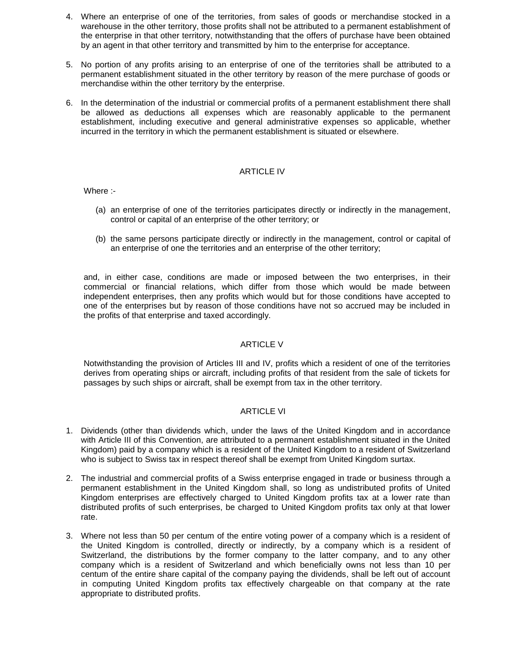- 4. Where an enterprise of one of the territories, from sales of goods or merchandise stocked in a warehouse in the other territory, those profits shall not be attributed to a permanent establishment of the enterprise in that other territory, notwithstanding that the offers of purchase have been obtained by an agent in that other territory and transmitted by him to the enterprise for acceptance.
- 5. No portion of any profits arising to an enterprise of one of the territories shall be attributed to a permanent establishment situated in the other territory by reason of the mere purchase of goods or merchandise within the other territory by the enterprise.
- 6. In the determination of the industrial or commercial profits of a permanent establishment there shall be allowed as deductions all expenses which are reasonably applicable to the permanent establishment, including executive and general administrative expenses so applicable, whether incurred in the territory in which the permanent establishment is situated or elsewhere.

#### ARTICLE IV

Where :-

- (a) an enterprise of one of the territories participates directly or indirectly in the management, control or capital of an enterprise of the other territory; or
- (b) the same persons participate directly or indirectly in the management, control or capital of an enterprise of one the territories and an enterprise of the other territory;

and, in either case, conditions are made or imposed between the two enterprises, in their commercial or financial relations, which differ from those which would be made between independent enterprises, then any profits which would but for those conditions have accepted to one of the enterprises but by reason of those conditions have not so accrued may be included in the profits of that enterprise and taxed accordingly.

# ARTICLE V

Notwithstanding the provision of Articles III and IV, profits which a resident of one of the territories derives from operating ships or aircraft, including profits of that resident from the sale of tickets for passages by such ships or aircraft, shall be exempt from tax in the other territory.

#### ARTICLE VI

- 1. Dividends (other than dividends which, under the laws of the United Kingdom and in accordance with Article III of this Convention, are attributed to a permanent establishment situated in the United Kingdom) paid by a company which is a resident of the United Kingdom to a resident of Switzerland who is subject to Swiss tax in respect thereof shall be exempt from United Kingdom surtax.
- 2. The industrial and commercial profits of a Swiss enterprise engaged in trade or business through a permanent establishment in the United Kingdom shall, so long as undistributed profits of United Kingdom enterprises are effectively charged to United Kingdom profits tax at a lower rate than distributed profits of such enterprises, be charged to United Kingdom profits tax only at that lower rate.
- 3. Where not less than 50 per centum of the entire voting power of a company which is a resident of the United Kingdom is controlled, directly or indirectly, by a company which is a resident of Switzerland, the distributions by the former company to the latter company, and to any other company which is a resident of Switzerland and which beneficially owns not less than 10 per centum of the entire share capital of the company paying the dividends, shall be left out of account in computing United Kingdom profits tax effectively chargeable on that company at the rate appropriate to distributed profits.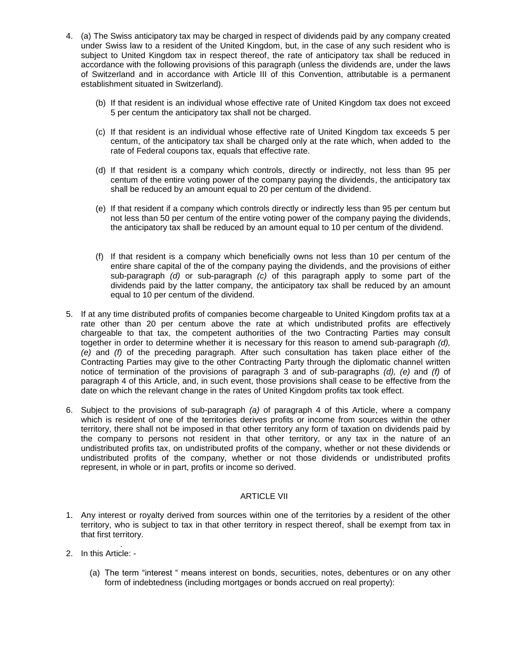- 4. (a) The Swiss anticipatory tax may be charged in respect of dividends paid by any company created under Swiss law to a resident of the United Kingdom, but, in the case of any such resident who is subject to United Kingdom tax in respect thereof, the rate of anticipatory tax shall be reduced in accordance with the following provisions of this paragraph (unless the dividends are, under the laws of Switzerland and in accordance with Article III of this Convention, attributable is a permanent establishment situated in Switzerland).
	- (b) If that resident is an individual whose effective rate of United Kingdom tax does not exceed 5 per centum the anticipatory tax shall not be charged.
	- (c) If that resident is an individual whose effective rate of United Kingdom tax exceeds 5 per centum, of the anticipatory tax shall be charged only at the rate which, when added to the rate of Federal coupons tax, equals that effective rate.
	- (d) If that resident is a company which controls, directly or indirectly, not less than 95 per centum of the entire voting power of the company paying the dividends, the anticipatory tax shall be reduced by an amount equal to 20 per centum of the dividend.
	- (e) If that resident if a company which controls directly or indirectly less than 95 per centum but not less than 50 per centum of the entire voting power of the company paying the dividends, the anticipatory tax shall be reduced by an amount equal to 10 per centum of the dividend.
	- (f) If that resident is a company which beneficially owns not less than 10 per centum of the entire share capital of the of the company paying the dividends, and the provisions of either sub-paragraph *(d)* or sub-paragraph *(c)* of this paragraph apply to some part of the dividends paid by the latter company, the anticipatory tax shall be reduced by an amount equal to 10 per centum of the dividend.
- 5. If at any time distributed profits of companies become chargeable to United Kingdom profits tax at a rate other than 20 per centum above the rate at which undistributed profits are effectively chargeable to that tax, the competent authorities of the two Contracting Parties may consult together in order to determine whether it is necessary for this reason to amend sub-paragraph *(d), (e)* and *(f)* of the preceding paragraph. After such consultation has taken place either of the Contracting Parties may give to the other Contracting Party through the diplomatic channel written notice of termination of the provisions of paragraph 3 and of sub-paragraphs *(d), (e)* and *(f)* of paragraph 4 of this Article, and, in such event, those provisions shall cease to be effective from the date on which the relevant change in the rates of United Kingdom profits tax took effect.
- 6. Subject to the provisions of sub-paragraph *(a)* of paragraph 4 of this Article, where a company which is resident of one of the territories derives profits or income from sources within the other territory, there shall not be imposed in that other territory any form of taxation on dividends paid by the company to persons not resident in that other territory, or any tax in the nature of an undistributed profits tax, on undistributed profits of the company, whether or not these dividends or undistributed profits of the company, whether or not those dividends or undistributed profits represent, in whole or in part, profits or income so derived.

### ARTICLE VII

- 1. Any interest or royalty derived from sources within one of the territories by a resident of the other territory, who is subject to tax in that other territory in respect thereof, shall be exempt from tax in that first territory.
- . 2. In this Article: -
	- (a) The term "interest " means interest on bonds, securities, notes, debentures or on any other form of indebtedness (including mortgages or bonds accrued on real property):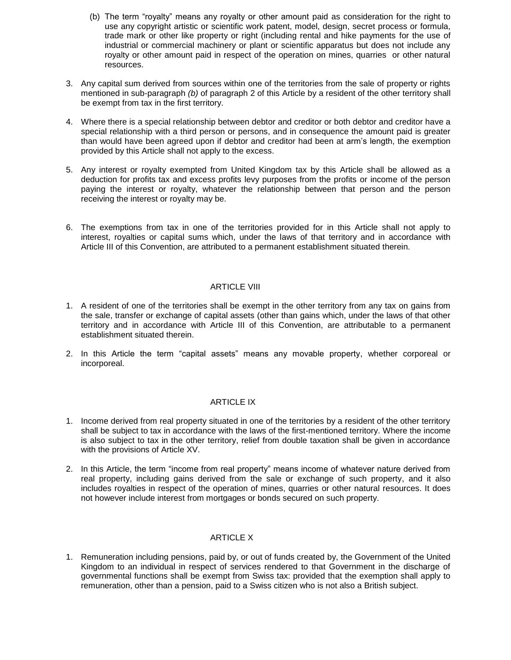- (b) The term "royalty" means any royalty or other amount paid as consideration for the right to use any copyright artistic or scientific work patent, model, design, secret process or formula, trade mark or other like property or right (including rental and hike payments for the use of industrial or commercial machinery or plant or scientific apparatus but does not include any royalty or other amount paid in respect of the operation on mines, quarries or other natural resources.
- 3. Any capital sum derived from sources within one of the territories from the sale of property or rights mentioned in sub-paragraph *(b)* of paragraph 2 of this Article by a resident of the other territory shall be exempt from tax in the first territory.
- 4. Where there is a special relationship between debtor and creditor or both debtor and creditor have a special relationship with a third person or persons, and in consequence the amount paid is greater than would have been agreed upon if debtor and creditor had been at arm's length, the exemption provided by this Article shall not apply to the excess.
- 5. Any interest or royalty exempted from United Kingdom tax by this Article shall be allowed as a deduction for profits tax and excess profits levy purposes from the profits or income of the person paying the interest or royalty, whatever the relationship between that person and the person receiving the interest or royalty may be.
- 6. The exemptions from tax in one of the territories provided for in this Article shall not apply to interest, royalties or capital sums which, under the laws of that territory and in accordance with Article III of this Convention, are attributed to a permanent establishment situated therein.

#### ARTICLE VIII

- 1. A resident of one of the territories shall be exempt in the other territory from any tax on gains from the sale, transfer or exchange of capital assets (other than gains which, under the laws of that other territory and in accordance with Article III of this Convention, are attributable to a permanent establishment situated therein.
- 2. In this Article the term "capital assets" means any movable property, whether corporeal or incorporeal.

#### ARTICLE IX

- 1. Income derived from real property situated in one of the territories by a resident of the other territory shall be subject to tax in accordance with the laws of the first-mentioned territory. Where the income is also subject to tax in the other territory, relief from double taxation shall be given in accordance with the provisions of Article XV.
- 2. In this Article, the term "income from real property" means income of whatever nature derived from real property, including gains derived from the sale or exchange of such property, and it also includes royalties in respect of the operation of mines, quarries or other natural resources. It does not however include interest from mortgages or bonds secured on such property.

### ARTICLE X

1. Remuneration including pensions, paid by, or out of funds created by, the Government of the United Kingdom to an individual in respect of services rendered to that Government in the discharge of governmental functions shall be exempt from Swiss tax: provided that the exemption shall apply to remuneration, other than a pension, paid to a Swiss citizen who is not also a British subject.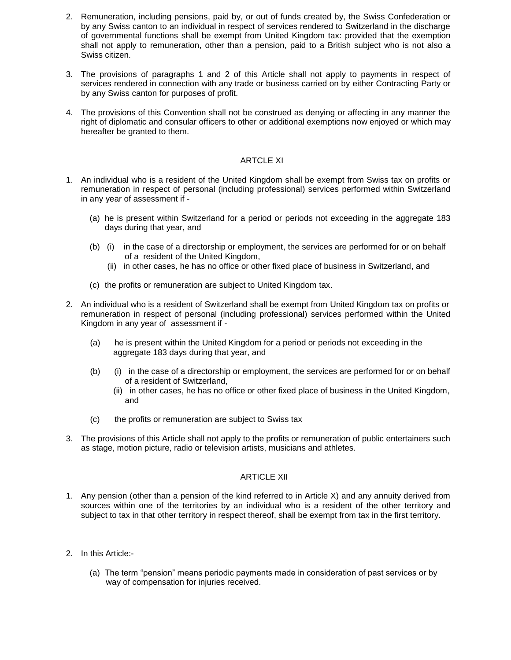- 2. Remuneration, including pensions, paid by, or out of funds created by, the Swiss Confederation or by any Swiss canton to an individual in respect of services rendered to Switzerland in the discharge of governmental functions shall be exempt from United Kingdom tax: provided that the exemption shall not apply to remuneration, other than a pension, paid to a British subject who is not also a Swiss citizen.
- 3. The provisions of paragraphs 1 and 2 of this Article shall not apply to payments in respect of services rendered in connection with any trade or business carried on by either Contracting Party or by any Swiss canton for purposes of profit.
- 4. The provisions of this Convention shall not be construed as denying or affecting in any manner the right of diplomatic and consular officers to other or additional exemptions now enjoyed or which may hereafter be granted to them.

#### ARTCLE XI

- 1. An individual who is a resident of the United Kingdom shall be exempt from Swiss tax on profits or remuneration in respect of personal (including professional) services performed within Switzerland in any year of assessment if -
	- (a) he is present within Switzerland for a period or periods not exceeding in the aggregate 183 days during that year, and
	- (b) (i) in the case of a directorship or employment, the services are performed for or on behalf of a resident of the United Kingdom,
		- (ii) in other cases, he has no office or other fixed place of business in Switzerland, and
	- (c) the profits or remuneration are subject to United Kingdom tax.
- 2. An individual who is a resident of Switzerland shall be exempt from United Kingdom tax on profits or remuneration in respect of personal (including professional) services performed within the United Kingdom in any year of assessment if -
	- (a) he is present within the United Kingdom for a period or periods not exceeding in the aggregate 183 days during that year, and
	- (b) (i) in the case of a directorship or employment, the services are performed for or on behalf of a resident of Switzerland,
		- (ii) in other cases, he has no office or other fixed place of business in the United Kingdom, and
	- (c) the profits or remuneration are subject to Swiss tax
- 3. The provisions of this Article shall not apply to the profits or remuneration of public entertainers such as stage, motion picture, radio or television artists, musicians and athletes.

#### ARTICLE XII

- 1. Any pension (other than a pension of the kind referred to in Article X) and any annuity derived from sources within one of the territories by an individual who is a resident of the other territory and subject to tax in that other territory in respect thereof, shall be exempt from tax in the first territory.
- 2. In this Article:-
	- (a) The term "pension" means periodic payments made in consideration of past services or by way of compensation for injuries received.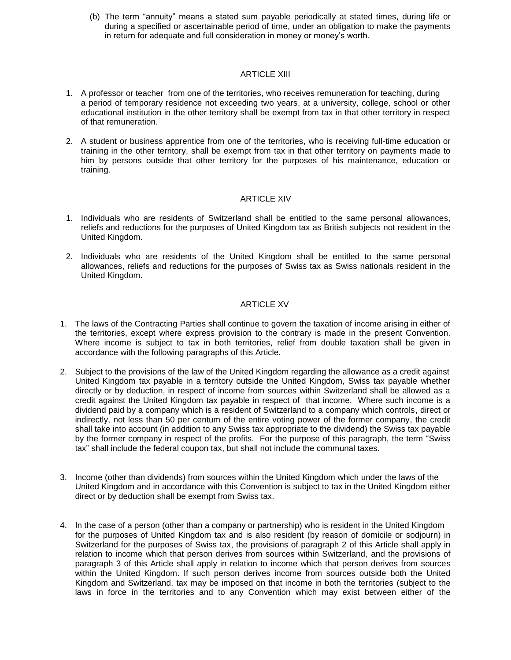(b) The term "annuity" means a stated sum payable periodically at stated times, during life or during a specified or ascertainable period of time, under an obligation to make the payments in return for adequate and full consideration in money or money's worth.

#### ARTICLE XIII

- 1. A professor or teacher from one of the territories, who receives remuneration for teaching, during a period of temporary residence not exceeding two years, at a university, college, school or other educational institution in the other territory shall be exempt from tax in that other territory in respect of that remuneration.
- 2. A student or business apprentice from one of the territories, who is receiving full-time education or training in the other territory, shall be exempt from tax in that other territory on payments made to him by persons outside that other territory for the purposes of his maintenance, education or training.

#### ARTICLE XIV

- 1. Individuals who are residents of Switzerland shall be entitled to the same personal allowances, reliefs and reductions for the purposes of United Kingdom tax as British subjects not resident in the United Kingdom.
- 2. Individuals who are residents of the United Kingdom shall be entitled to the same personal allowances, reliefs and reductions for the purposes of Swiss tax as Swiss nationals resident in the United Kingdom.

#### ARTICLE XV

- 1. The laws of the Contracting Parties shall continue to govern the taxation of income arising in either of the territories, except where express provision to the contrary is made in the present Convention. Where income is subject to tax in both territories, relief from double taxation shall be given in accordance with the following paragraphs of this Article.
- 2. Subject to the provisions of the law of the United Kingdom regarding the allowance as a credit against United Kingdom tax payable in a territory outside the United Kingdom, Swiss tax payable whether directly or by deduction, in respect of income from sources within Switzerland shall be allowed as a credit against the United Kingdom tax payable in respect of that income. Where such income is a dividend paid by a company which is a resident of Switzerland to a company which controls, direct or indirectly, not less than 50 per centum of the entire voting power of the former company, the credit shall take into account (in addition to any Swiss tax appropriate to the dividend) the Swiss tax payable by the former company in respect of the profits. For the purpose of this paragraph, the term "Swiss tax" shall include the federal coupon tax, but shall not include the communal taxes.
- 3. Income (other than dividends) from sources within the United Kingdom which under the laws of the United Kingdom and in accordance with this Convention is subject to tax in the United Kingdom either direct or by deduction shall be exempt from Swiss tax.
- 4. In the case of a person (other than a company or partnership) who is resident in the United Kingdom for the purposes of United Kingdom tax and is also resident (by reason of domicile or sodjourn) in Switzerland for the purposes of Swiss tax, the provisions of paragraph 2 of this Article shall apply in relation to income which that person derives from sources within Switzerland, and the provisions of paragraph 3 of this Article shall apply in relation to income which that person derives from sources within the United Kingdom. If such person derives income from sources outside both the United Kingdom and Switzerland, tax may be imposed on that income in both the territories (subject to the laws in force in the territories and to any Convention which may exist between either of the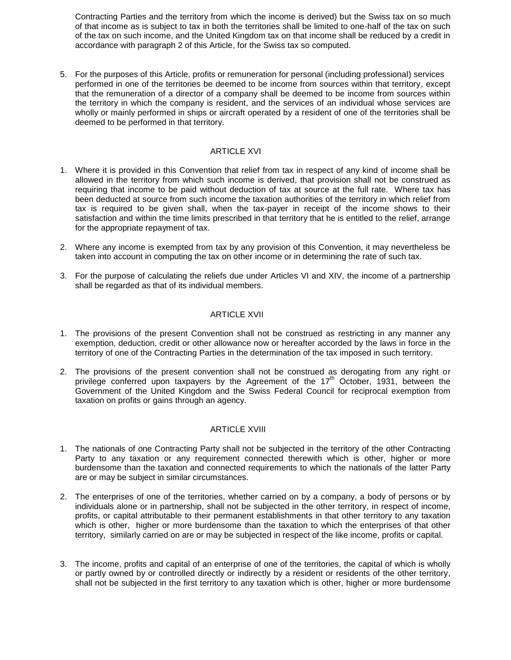Contracting Parties and the territory from which the income is derived) but the Swiss tax on so much of that income as is subject to tax in both the territories shall be limited to one-half of the tax on such of the tax on such income, and the United Kingdom tax on that income shall be reduced by a credit in accordance with paragraph 2 of this Article, for the Swiss tax so computed.

5. For the purposes of this Article, profits or remuneration for personal (including professional) services performed in one of the territories be deemed to be income from sources within that territory, except that the remuneration of a director of a company shall be deemed to be income from sources within the territory in which the company is resident, and the services of an individual whose services are wholly or mainly performed in ships or aircraft operated by a resident of one of the territories shall be deemed to be performed in that territory.

# ARTICLE XVI

- 1. Where it is provided in this Convention that relief from tax in respect of any kind of income shall be allowed in the territory from which such income is derived, that provision shall not be construed as requiring that income to be paid without deduction of tax at source at the full rate. Where tax has been deducted at source from such income the taxation authorities of the territory in which relief from tax is required to be given shall, when the tax-payer in receipt of the income shows to their satisfaction and within the time limits prescribed in that territory that he is entitled to the relief, arrange for the appropriate repayment of tax.
- 2. Where any income is exempted from tax by any provision of this Convention, it may nevertheless be taken into account in computing the tax on other income or in determining the rate of such tax.
- 3. For the purpose of calculating the reliefs due under Articles VI and XIV, the income of a partnership shall be regarded as that of its individual members.

#### ARTICLE XVII

- 1. The provisions of the present Convention shall not be construed as restricting in any manner any exemption, deduction, credit or other allowance now or hereafter accorded by the laws in force in the territory of one of the Contracting Parties in the determination of the tax imposed in such territory.
- 2. The provisions of the present convention shall not be construed as derogating from any right or privilege conferred upon taxpayers by the Agreement of the  $17<sup>th</sup>$  October, 1931, between the Government of the United Kingdom and the Swiss Federal Council for reciprocal exemption from taxation on profits or gains through an agency.

#### ARTICLE XVIII

- 1. The nationals of one Contracting Party shall not be subjected in the territory of the other Contracting Party to any taxation or any requirement connected therewith which is other, higher or more burdensome than the taxation and connected requirements to which the nationals of the latter Party are or may be subject in similar circumstances.
- 2. The enterprises of one of the territories, whether carried on by a company, a body of persons or by individuals alone or in partnership, shall not be subjected in the other territory, in respect of income, profits, or capital attributable to their permanent establishments in that other territory to any taxation which is other, higher or more burdensome than the taxation to which the enterprises of that other territory, similarly carried on are or may be subjected in respect of the like income, profits or capital.
- 3. The income, profits and capital of an enterprise of one of the territories, the capital of which is wholly or partly owned by or controlled directly or indirectly by a resident or residents of the other territory, shall not be subjected in the first territory to any taxation which is other, higher or more burdensome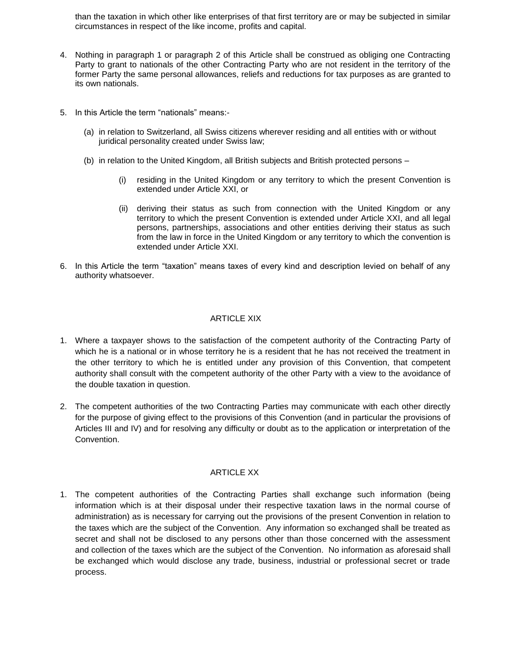than the taxation in which other like enterprises of that first territory are or may be subjected in similar circumstances in respect of the like income, profits and capital.

- 4. Nothing in paragraph 1 or paragraph 2 of this Article shall be construed as obliging one Contracting Party to grant to nationals of the other Contracting Party who are not resident in the territory of the former Party the same personal allowances, reliefs and reductions for tax purposes as are granted to its own nationals.
- 5. In this Article the term "nationals" means:-
	- (a) in relation to Switzerland, all Swiss citizens wherever residing and all entities with or without juridical personality created under Swiss law;
	- (b) in relation to the United Kingdom, all British subjects and British protected persons
		- (i) residing in the United Kingdom or any territory to which the present Convention is extended under Article XXI, or
		- (ii) deriving their status as such from connection with the United Kingdom or any territory to which the present Convention is extended under Article XXI, and all legal persons, partnerships, associations and other entities deriving their status as such from the law in force in the United Kingdom or any territory to which the convention is extended under Article XXI.
- 6. In this Article the term "taxation" means taxes of every kind and description levied on behalf of any authority whatsoever.

# ARTICLE XIX

- 1. Where a taxpayer shows to the satisfaction of the competent authority of the Contracting Party of which he is a national or in whose territory he is a resident that he has not received the treatment in the other territory to which he is entitled under any provision of this Convention, that competent authority shall consult with the competent authority of the other Party with a view to the avoidance of the double taxation in question.
- 2. The competent authorities of the two Contracting Parties may communicate with each other directly for the purpose of giving effect to the provisions of this Convention (and in particular the provisions of Articles III and IV) and for resolving any difficulty or doubt as to the application or interpretation of the Convention.

# ARTICLE XX

1. The competent authorities of the Contracting Parties shall exchange such information (being information which is at their disposal under their respective taxation laws in the normal course of administration) as is necessary for carrying out the provisions of the present Convention in relation to the taxes which are the subject of the Convention. Any information so exchanged shall be treated as secret and shall not be disclosed to any persons other than those concerned with the assessment and collection of the taxes which are the subject of the Convention. No information as aforesaid shall be exchanged which would disclose any trade, business, industrial or professional secret or trade process.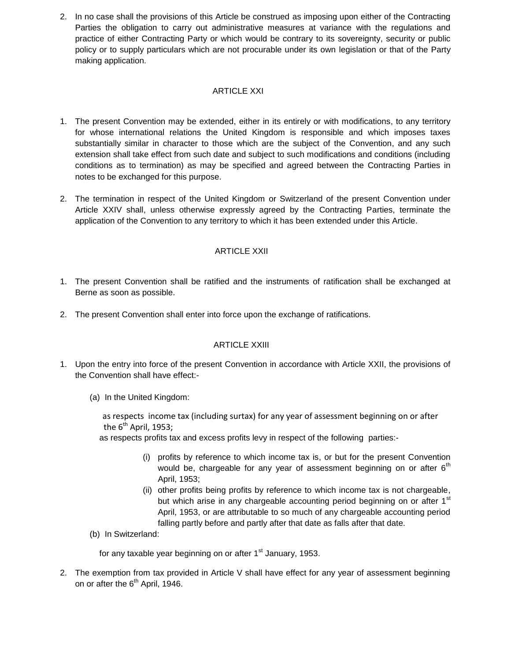2. In no case shall the provisions of this Article be construed as imposing upon either of the Contracting Parties the obligation to carry out administrative measures at variance with the regulations and practice of either Contracting Party or which would be contrary to its sovereignty, security or public policy or to supply particulars which are not procurable under its own legislation or that of the Party making application.

# ARTICLE XXI

- 1. The present Convention may be extended, either in its entirely or with modifications, to any territory for whose international relations the United Kingdom is responsible and which imposes taxes substantially similar in character to those which are the subject of the Convention, and any such extension shall take effect from such date and subject to such modifications and conditions (including conditions as to termination) as may be specified and agreed between the Contracting Parties in notes to be exchanged for this purpose.
- 2. The termination in respect of the United Kingdom or Switzerland of the present Convention under Article XXIV shall, unless otherwise expressly agreed by the Contracting Parties, terminate the application of the Convention to any territory to which it has been extended under this Article.

# ARTICLE XXII

- 1. The present Convention shall be ratified and the instruments of ratification shall be exchanged at Berne as soon as possible.
- 2. The present Convention shall enter into force upon the exchange of ratifications.

#### ARTICLE XXIII

- 1. Upon the entry into force of the present Convention in accordance with Article XXII, the provisions of the Convention shall have effect:-
	- (a) In the United Kingdom:

 as respects income tax (including surtax) for any year of assessment beginning on or after the  $6^{th}$  April, 1953;

as respects profits tax and excess profits levy in respect of the following parties:-

- (i) profits by reference to which income tax is, or but for the present Convention would be, chargeable for any year of assessment beginning on or after  $6<sup>th</sup>$ April, 1953;
- (ii) other profits being profits by reference to which income tax is not chargeable, but which arise in any chargeable accounting period beginning on or after  $1<sup>st</sup>$ April, 1953, or are attributable to so much of any chargeable accounting period falling partly before and partly after that date as falls after that date.
- (b) In Switzerland:

for any taxable year beginning on or after  $1<sup>st</sup>$  January, 1953.

2. The exemption from tax provided in Article V shall have effect for any year of assessment beginning on or after the 6<sup>th</sup> April, 1946.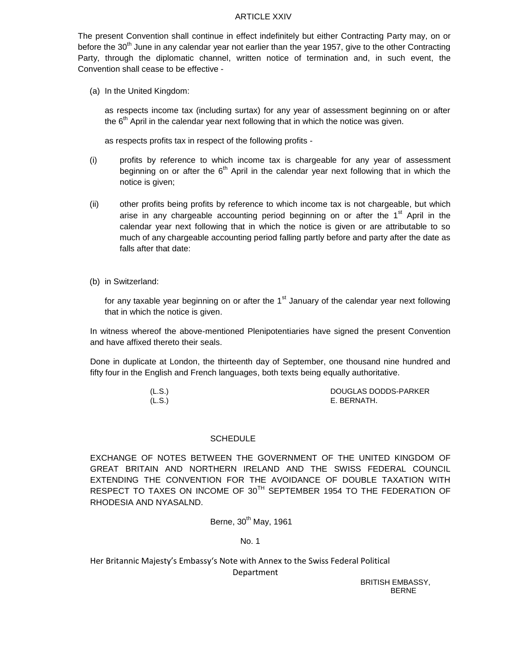#### ARTICLE XXIV

The present Convention shall continue in effect indefinitely but either Contracting Party may, on or before the  $30<sup>th</sup>$  June in any calendar year not earlier than the year 1957, give to the other Contracting Party, through the diplomatic channel, written notice of termination and, in such event, the Convention shall cease to be effective -

(a) In the United Kingdom:

as respects income tax (including surtax) for any year of assessment beginning on or after the  $6<sup>th</sup>$  April in the calendar year next following that in which the notice was given.

as respects profits tax in respect of the following profits -

- (i) profits by reference to which income tax is chargeable for any year of assessment beginning on or after the  $6<sup>th</sup>$  April in the calendar year next following that in which the notice is given;
- (ii) other profits being profits by reference to which income tax is not chargeable, but which arise in any chargeable accounting period beginning on or after the  $1<sup>st</sup>$  April in the calendar year next following that in which the notice is given or are attributable to so much of any chargeable accounting period falling partly before and party after the date as falls after that date:
- (b) in Switzerland:

for any taxable year beginning on or after the  $1<sup>st</sup>$  January of the calendar year next following that in which the notice is given.

In witness whereof the above-mentioned Plenipotentiaries have signed the present Convention and have affixed thereto their seals.

Done in duplicate at London, the thirteenth day of September, one thousand nine hundred and fifty four in the English and French languages, both texts being equally authoritative.

| (L.S.) | DOUGLAS DODDS-PARKER |
|--------|----------------------|
| (L.S.) | E. BERNATH.          |

#### **SCHEDULE**

EXCHANGE OF NOTES BETWEEN THE GOVERNMENT OF THE UNITED KINGDOM OF GREAT BRITAIN AND NORTHERN IRELAND AND THE SWISS FEDERAL COUNCIL EXTENDING THE CONVENTION FOR THE AVOIDANCE OF DOUBLE TAXATION WITH RESPECT TO TAXES ON INCOME OF 30<sup>TH</sup> SEPTEMBER 1954 TO THE FEDERATION OF RHODESIA AND NYASALND.

Berne,  $30<sup>th</sup>$  May, 1961

No. 1

Her Britannic Majesty's Embassy's Note with Annex to the Swiss Federal Political Department

BRITISH EMBASSY, BERNE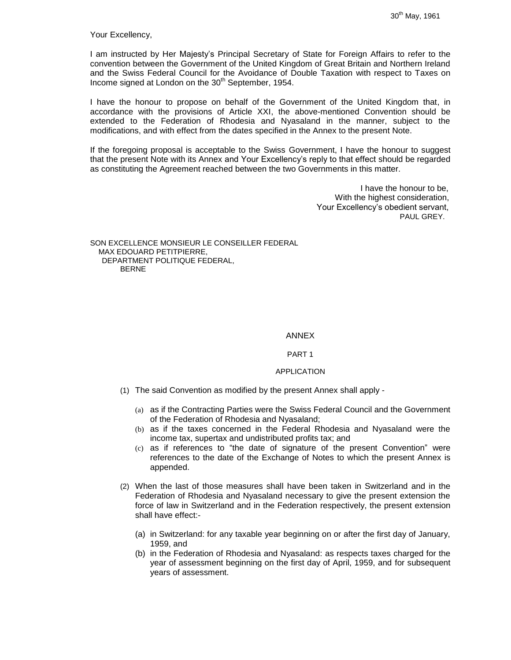Your Excellency,

I am instructed by Her Majesty's Principal Secretary of State for Foreign Affairs to refer to the convention between the Government of the United Kingdom of Great Britain and Northern Ireland and the Swiss Federal Council for the Avoidance of Double Taxation with respect to Taxes on Income signed at London on the  $30<sup>th</sup>$  September, 1954.

I have the honour to propose on behalf of the Government of the United Kingdom that, in accordance with the provisions of Article XXI, the above-mentioned Convention should be extended to the Federation of Rhodesia and Nyasaland in the manner, subject to the modifications, and with effect from the dates specified in the Annex to the present Note.

If the foregoing proposal is acceptable to the Swiss Government, I have the honour to suggest that the present Note with its Annex and Your Excellency's reply to that effect should be regarded as constituting the Agreement reached between the two Governments in this matter.

> I have the honour to be, With the highest consideration, Your Excellency's obedient servant, PAUL GREY.

SON EXCELLENCE MONSIEUR LE CONSEILLER FEDERAL MAX EDOUARD PETITPIERRE, DEPARTMENT POLITIQUE FEDERAL, BERNE

#### ANNEX

#### PART 1

#### APPLICATION

- (1) The said Convention as modified by the present Annex shall apply
	- (a) as if the Contracting Parties were the Swiss Federal Council and the Government of the Federation of Rhodesia and Nyasaland;
	- (b) as if the taxes concerned in the Federal Rhodesia and Nyasaland were the income tax, supertax and undistributed profits tax; and
	- (c) as if references to "the date of signature of the present Convention" were references to the date of the Exchange of Notes to which the present Annex is appended.
- (2) When the last of those measures shall have been taken in Switzerland and in the Federation of Rhodesia and Nyasaland necessary to give the present extension the force of law in Switzerland and in the Federation respectively, the present extension shall have effect:-
	- (a) in Switzerland: for any taxable year beginning on or after the first day of January, 1959, and
	- (b) in the Federation of Rhodesia and Nyasaland: as respects taxes charged for the year of assessment beginning on the first day of April, 1959, and for subsequent years of assessment.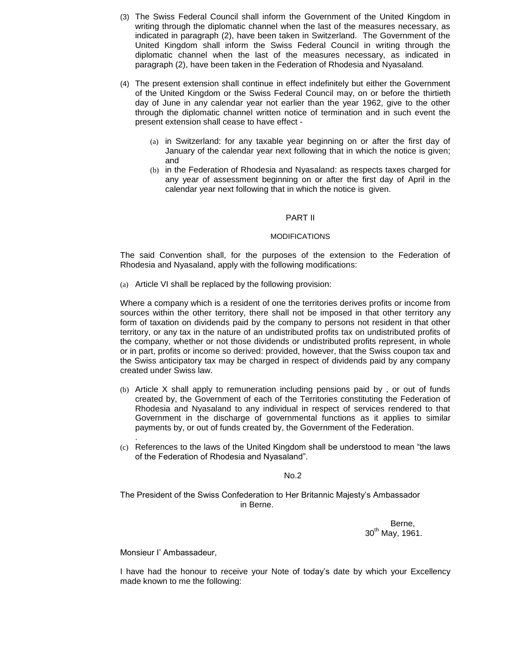- (3) The Swiss Federal Council shall inform the Government of the United Kingdom in writing through the diplomatic channel when the last of the measures necessary, as indicated in paragraph (2), have been taken in Switzerland. The Government of the United Kingdom shall inform the Swiss Federal Council in writing through the diplomatic channel when the last of the measures necessary, as indicated in paragraph (2), have been taken in the Federation of Rhodesia and Nyasaland.
- (4) The present extension shall continue in effect indefinitely but either the Government of the United Kingdom or the Swiss Federal Council may, on or before the thirtieth day of June in any calendar year not earlier than the year 1962, give to the other through the diplomatic channel written notice of termination and in such event the present extension shall cease to have effect -
	- (a) in Switzerland: for any taxable year beginning on or after the first day of January of the calendar year next following that in which the notice is given; and
	- (b) in the Federation of Rhodesia and Nyasaland: as respects taxes charged for any year of assessment beginning on or after the first day of April in the calendar year next following that in which the notice is given.

#### PART II

#### MODIFICATIONS

The said Convention shall, for the purposes of the extension to the Federation of Rhodesia and Nyasaland, apply with the following modifications:

(a) Article VI shall be replaced by the following provision:

Where a company which is a resident of one the territories derives profits or income from sources within the other territory, there shall not be imposed in that other territory any form of taxation on dividends paid by the company to persons not resident in that other territory, or any tax in the nature of an undistributed profits tax on undistributed profits of the company, whether or not those dividends or undistributed profits represent, in whole or in part, profits or income so derived: provided, however, that the Swiss coupon tax and the Swiss anticipatory tax may be charged in respect of dividends paid by any company created under Swiss law.

- (b) Article X shall apply to remuneration including pensions paid by , or out of funds created by, the Government of each of the Territories constituting the Federation of Rhodesia and Nyasaland to any individual in respect of services rendered to that Government in the discharge of governmental functions as it applies to similar payments by, or out of funds created by, the Government of the Federation.
- (c) References to the laws of the United Kingdom shall be understood to mean "the laws of the Federation of Rhodesia and Nyasaland".

#### No.2

The President of the Swiss Confederation to Her Britannic Majesty's Ambassador in Berne.

> Berne, 30<sup>th</sup> May, 1961.

Monsieur I' Ambassadeur,

.

I have had the honour to receive your Note of today's date by which your Excellency made known to me the following: